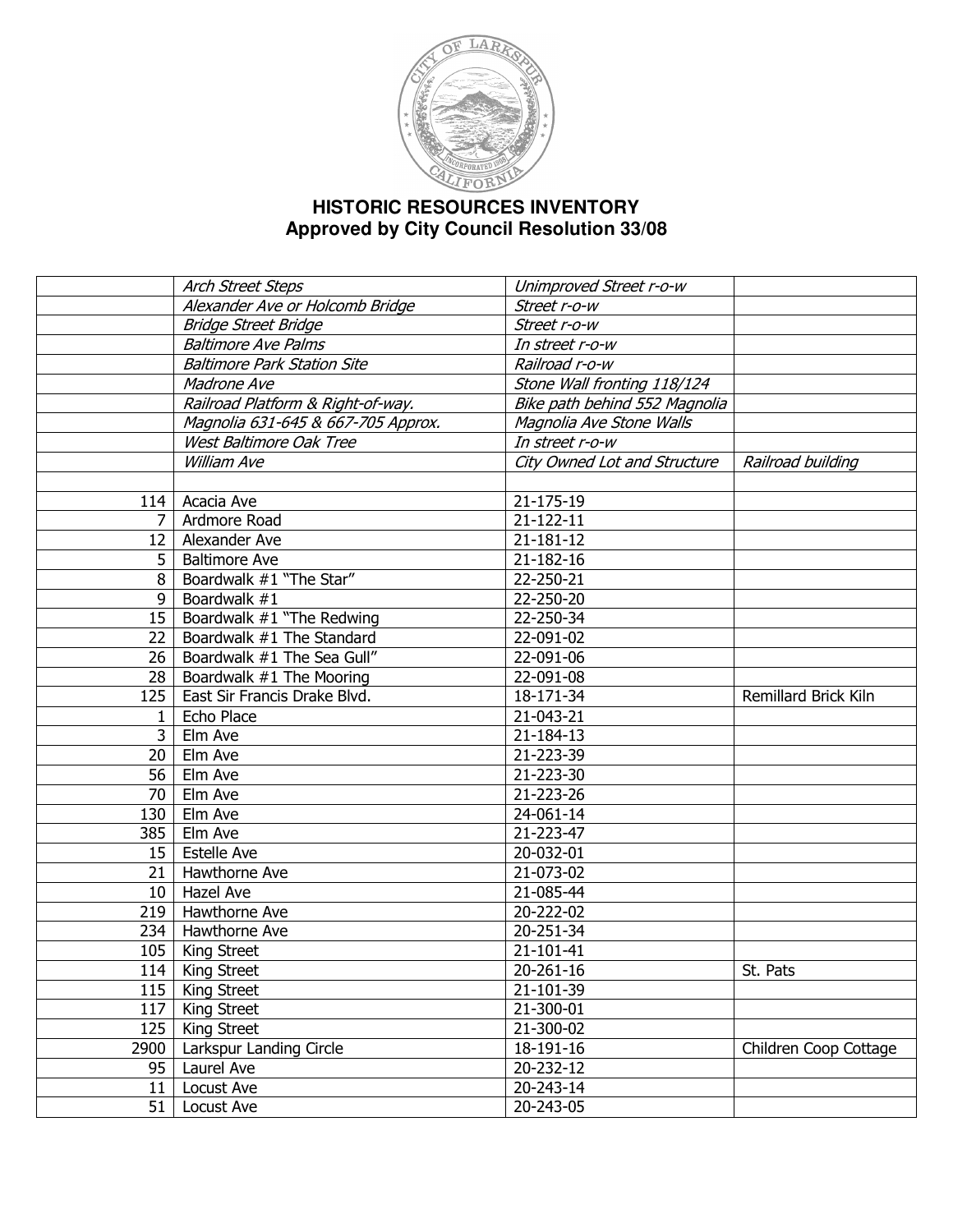

## **HISTORIC RESOURCES INVENTORY Approved by City Council Resolution 33/08**

|      | Arch Street Steps                  | Unimproved Street r-o-w       |                       |
|------|------------------------------------|-------------------------------|-----------------------|
|      | Alexander Ave or Holcomb Bridge    | Street r-o-w                  |                       |
|      | <b>Bridge Street Bridge</b>        | Street r-o-w                  |                       |
|      | <b>Baltimore Ave Palms</b>         | In street r-o-w               |                       |
|      | <b>Baltimore Park Station Site</b> | Railroad r-o-w                |                       |
|      | Madrone Ave                        | Stone Wall fronting 118/124   |                       |
|      | Railroad Platform & Right-of-way.  | Bike path behind 552 Magnolia |                       |
|      | Magnolia 631-645 & 667-705 Approx. | Magnolia Ave Stone Walls      |                       |
|      | West Baltimore Oak Tree            | In street r-o-w               |                       |
|      | William Ave                        | City Owned Lot and Structure  | Railroad building     |
|      |                                    |                               |                       |
| 114  | Acacia Ave                         | 21-175-19                     |                       |
| 7    | Ardmore Road                       | 21-122-11                     |                       |
| 12   | Alexander Ave                      | 21-181-12                     |                       |
| 5    | <b>Baltimore Ave</b>               | 21-182-16                     |                       |
| 8    | Boardwalk #1 "The Star"            | 22-250-21                     |                       |
| 9    | Boardwalk #1                       | 22-250-20                     |                       |
| 15   | Boardwalk #1 "The Redwing          | 22-250-34                     |                       |
| 22   | Boardwalk #1 The Standard          | 22-091-02                     |                       |
| 26   | Boardwalk #1 The Sea Gull"         | 22-091-06                     |                       |
| 28   | Boardwalk #1 The Mooring           | 22-091-08                     |                       |
| 125  | East Sir Francis Drake Blvd.       | 18-171-34                     | Remillard Brick Kiln  |
| 1    | Echo Place                         | 21-043-21                     |                       |
| 3    | Elm Ave                            | 21-184-13                     |                       |
| 20   | Elm Ave                            | 21-223-39                     |                       |
| 56   | Elm Ave                            | 21-223-30                     |                       |
| 70   | Elm Ave                            | 21-223-26                     |                       |
| 130  | Elm Ave                            | 24-061-14                     |                       |
| 385  | <b>Elm</b> Ave                     | 21-223-47                     |                       |
| 15   | <b>Estelle Ave</b>                 | 20-032-01                     |                       |
| 21   | Hawthorne Ave                      | 21-073-02                     |                       |
| 10   | Hazel Ave                          | 21-085-44                     |                       |
| 219  | Hawthorne Ave                      | 20-222-02                     |                       |
| 234  | Hawthorne Ave                      | 20-251-34                     |                       |
| 105  | King Street                        | 21-101-41                     |                       |
|      | 114   King Street                  | 20-261-16                     | St. Pats              |
| 115  | King Street                        | 21-101-39                     |                       |
| 117  | King Street                        | 21-300-01                     |                       |
| 125  | King Street                        | 21-300-02                     |                       |
| 2900 | Larkspur Landing Circle            | 18-191-16                     | Children Coop Cottage |
| 95   | Laurel Ave                         | 20-232-12                     |                       |
| 11   | Locust Ave                         | 20-243-14                     |                       |
| 51   | Locust Ave                         | 20-243-05                     |                       |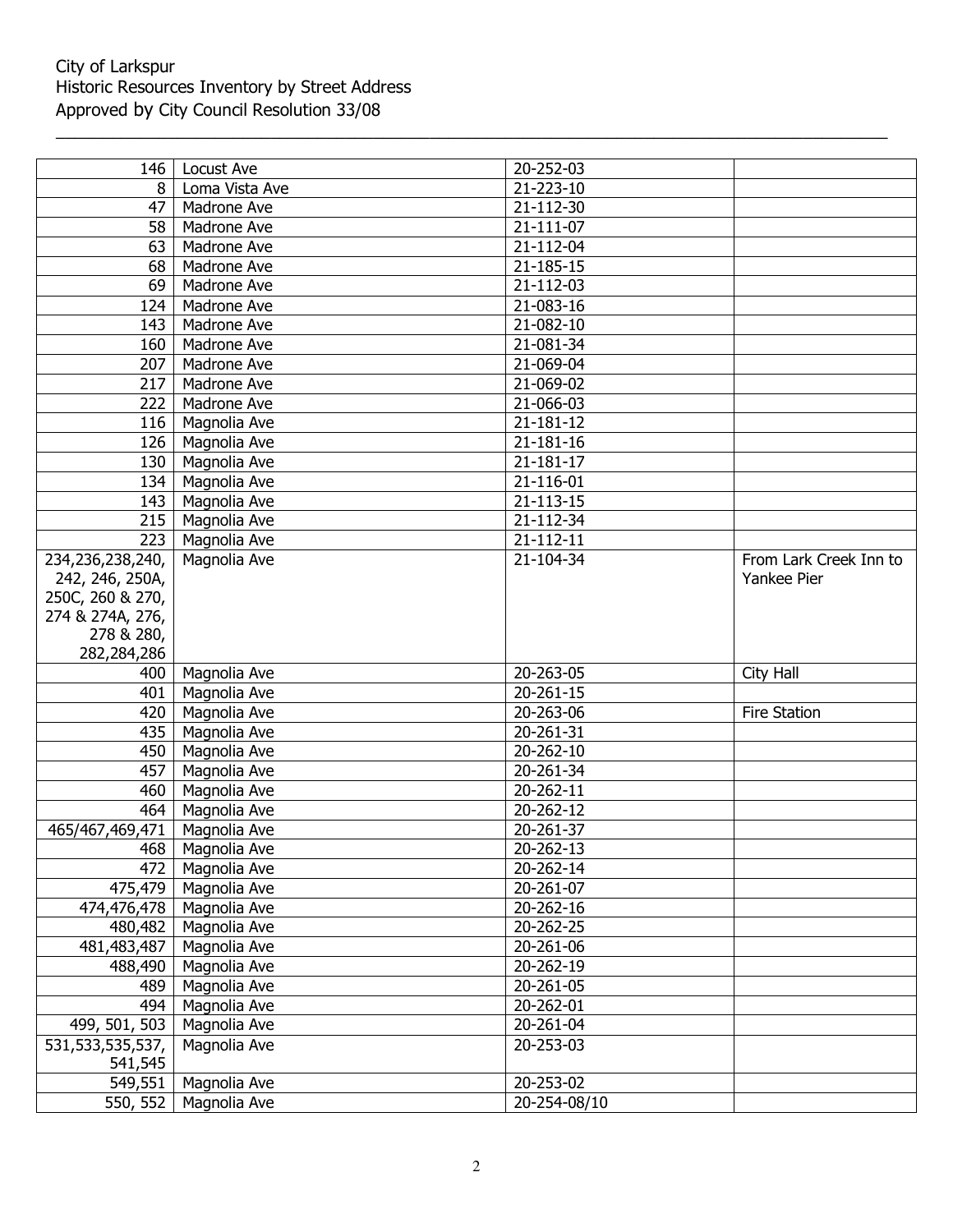## City of Larkspur Historic Resources Inventory by Street Address Approved by City Council Resolution 33/08

| 146                            | Locust Ave                 | 20-252-03    |                        |
|--------------------------------|----------------------------|--------------|------------------------|
| 8                              | Loma Vista Ave             | 21-223-10    |                        |
| 47                             | Madrone Ave                | 21-112-30    |                        |
| 58                             | Madrone Ave                | 21-111-07    |                        |
| 63                             | Madrone Ave                | 21-112-04    |                        |
| 68                             | Madrone Ave                | 21-185-15    |                        |
| 69                             | Madrone Ave                | 21-112-03    |                        |
| 124                            | Madrone Ave                | 21-083-16    |                        |
| 143                            | Madrone Ave                | 21-082-10    |                        |
| 160                            | Madrone Ave                | 21-081-34    |                        |
| 207                            | Madrone Ave                | 21-069-04    |                        |
| 217                            | Madrone Ave                | 21-069-02    |                        |
| 222                            | Madrone Ave                | 21-066-03    |                        |
| 116                            | Magnolia Ave               | 21-181-12    |                        |
| 126                            | Magnolia Ave               | 21-181-16    |                        |
| 130                            | Magnolia Ave               | 21-181-17    |                        |
| 134                            | Magnolia Ave               | 21-116-01    |                        |
| 143                            | Magnolia Ave               | 21-113-15    |                        |
| 215                            | Magnolia Ave               | 21-112-34    |                        |
| 223                            | Magnolia Ave               | 21-112-11    |                        |
| 234,236,238,240,               | Magnolia Ave               | 21-104-34    | From Lark Creek Inn to |
| 242, 246, 250A,                |                            |              | Yankee Pier            |
| 250C, 260 & 270,               |                            |              |                        |
| 274 & 274A, 276,               |                            |              |                        |
| 278 & 280,                     |                            |              |                        |
| 282,284,286                    |                            |              |                        |
| 400                            | Magnolia Ave               | 20-263-05    | City Hall              |
| 401                            | Magnolia Ave               | 20-261-15    |                        |
| 420                            | Magnolia Ave               | 20-263-06    | Fire Station           |
| 435                            | Magnolia Ave               | 20-261-31    |                        |
| 450                            | Magnolia Ave               | 20-262-10    |                        |
| 457                            | Magnolia Ave               | 20-261-34    |                        |
| 460                            | Magnolia Ave               | 20-262-11    |                        |
| 464                            | Magnolia Ave               | 20-262-12    |                        |
| 465/467,469,471   Magnolia Ave |                            | 20-261-37    |                        |
|                                | 468   Magnolia Ave         | 20-262-13    |                        |
| 472                            | Magnolia Ave               | 20-262-14    |                        |
|                                | 475,479   Magnolia Ave     | 20-261-07    |                        |
|                                | 474,476,478   Magnolia Ave | 20-262-16    |                        |
|                                | 480,482   Magnolia Ave     | 20-262-25    |                        |
| 481,483,487                    | Magnolia Ave               | 20-261-06    |                        |
| 488,490                        | Magnolia Ave               | 20-262-19    |                        |
| 489                            | Magnolia Ave               | 20-261-05    |                        |
| 494                            | Magnolia Ave               | 20-262-01    |                        |
| 499, 501, 503                  | Magnolia Ave               | 20-261-04    |                        |
| 531,533,535,537,               | Magnolia Ave               | 20-253-03    |                        |
| 541,545                        |                            |              |                        |
| 549,551                        | Magnolia Ave               | 20-253-02    |                        |
| 550, 552                       | Magnolia Ave               | 20-254-08/10 |                        |

\_\_\_\_\_\_\_\_\_\_\_\_\_\_\_\_\_\_\_\_\_\_\_\_\_\_\_\_\_\_\_\_\_\_\_\_\_\_\_\_\_\_\_\_\_\_\_\_\_\_\_\_\_\_\_\_\_\_\_\_\_\_\_\_\_\_\_\_\_\_\_\_\_\_\_\_\_\_\_\_\_\_\_\_\_\_\_\_\_